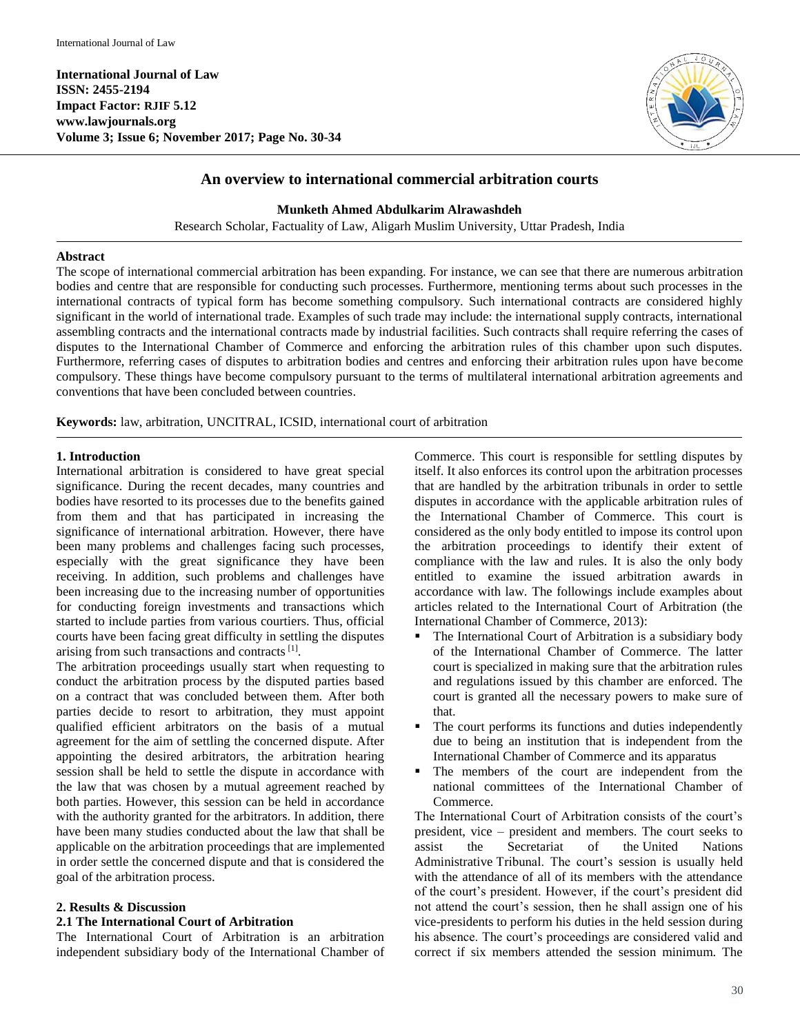**International Journal of Law ISSN: 2455-2194 Impact Factor: RJIF 5.12 www.lawjournals.org Volume 3; Issue 6; November 2017; Page No. 30-34**



# **An overview to international commercial arbitration courts**

**Munketh Ahmed Abdulkarim Alrawashdeh**

Research Scholar, Factuality of Law, Aligarh Muslim University, Uttar Pradesh, India

### **Abstract**

The scope of international commercial arbitration has been expanding. For instance, we can see that there are numerous arbitration bodies and centre that are responsible for conducting such processes. Furthermore, mentioning terms about such processes in the international contracts of typical form has become something compulsory. Such international contracts are considered highly significant in the world of international trade. Examples of such trade may include: the international supply contracts, international assembling contracts and the international contracts made by industrial facilities. Such contracts shall require referring the cases of disputes to the International Chamber of Commerce and enforcing the arbitration rules of this chamber upon such disputes. Furthermore, referring cases of disputes to arbitration bodies and centres and enforcing their arbitration rules upon have become compulsory. These things have become compulsory pursuant to the terms of multilateral international arbitration agreements and conventions that have been concluded between countries.

**Keywords:** law, arbitration, UNCITRAL, ICSID, international court of arbitration

#### **1. Introduction**

International arbitration is considered to have great special significance. During the recent decades, many countries and bodies have resorted to its processes due to the benefits gained from them and that has participated in increasing the significance of international arbitration. However, there have been many problems and challenges facing such processes, especially with the great significance they have been receiving. In addition, such problems and challenges have been increasing due to the increasing number of opportunities for conducting foreign investments and transactions which started to include parties from various courtiers. Thus, official courts have been facing great difficulty in settling the disputes arising from such transactions and contracts<sup>[1]</sup>.

The arbitration proceedings usually start when requesting to conduct the arbitration process by the disputed parties based on a contract that was concluded between them. After both parties decide to resort to arbitration, they must appoint qualified efficient arbitrators on the basis of a mutual agreement for the aim of settling the concerned dispute. After appointing the desired arbitrators, the arbitration hearing session shall be held to settle the dispute in accordance with the law that was chosen by a mutual agreement reached by both parties. However, this session can be held in accordance with the authority granted for the arbitrators. In addition, there have been many studies conducted about the law that shall be applicable on the arbitration proceedings that are implemented in order settle the concerned dispute and that is considered the goal of the arbitration process.

### **2. Results & Discussion**

#### **2.1 The International Court of Arbitration**

The International Court of Arbitration is an arbitration independent subsidiary body of the International Chamber of Commerce. This court is responsible for settling disputes by itself. It also enforces its control upon the arbitration processes that are handled by the arbitration tribunals in order to settle disputes in accordance with the applicable arbitration rules of the International Chamber of Commerce. This court is considered as the only body entitled to impose its control upon the arbitration proceedings to identify their extent of compliance with the law and rules. It is also the only body entitled to examine the issued arbitration awards in accordance with law. The followings include examples about articles related to the International Court of Arbitration (the International Chamber of Commerce, 2013):

- The International Court of Arbitration is a subsidiary body of the International Chamber of Commerce. The latter court is specialized in making sure that the arbitration rules and regulations issued by this chamber are enforced. The court is granted all the necessary powers to make sure of that.
- The court performs its functions and duties independently due to being an institution that is independent from the International Chamber of Commerce and its apparatus
- The members of the court are independent from the national committees of the International Chamber of Commerce.

The International Court of Arbitration consists of the court's president, vice – president and members. The court seeks to assist the Secretariat of the United Nations Administrative Tribunal. The court's session is usually held with the attendance of all of its members with the attendance of the court's president. However, if the court's president did not attend the court's session, then he shall assign one of his vice-presidents to perform his duties in the held session during his absence. The court's proceedings are considered valid and correct if six members attended the session minimum. The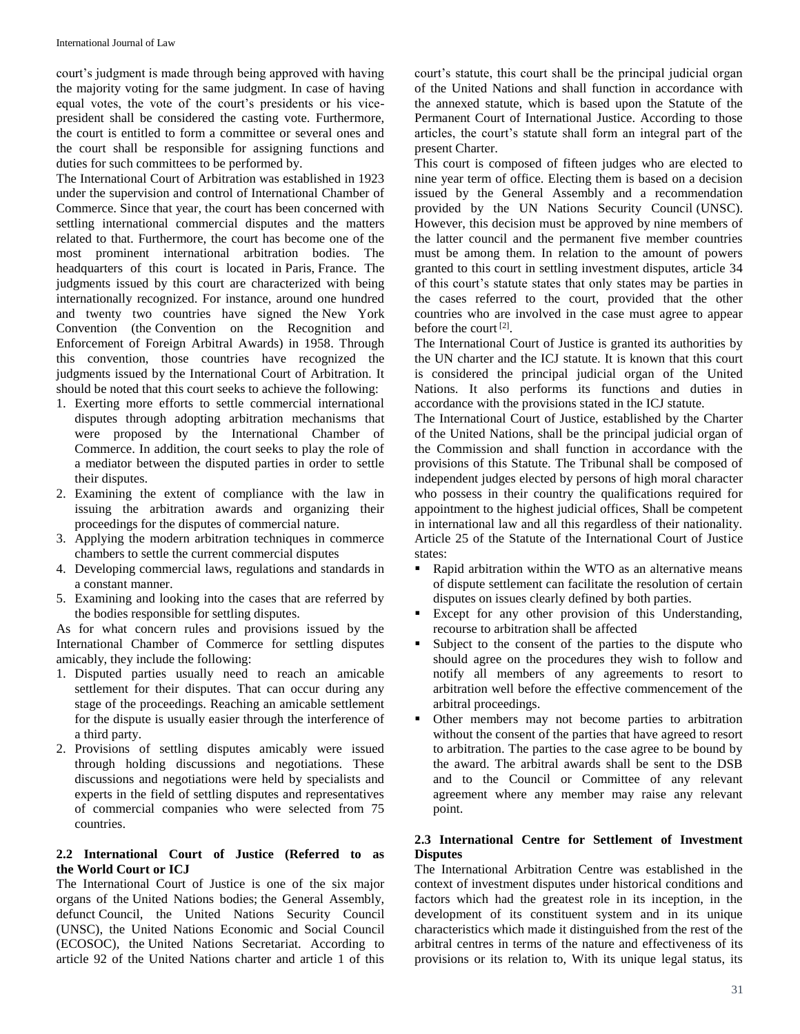court's judgment is made through being approved with having the majority voting for the same judgment. In case of having equal votes, the vote of the court's presidents or his vicepresident shall be considered the casting vote. Furthermore, the court is entitled to form a committee or several ones and the court shall be responsible for assigning functions and duties for such committees to be performed by.

The International Court of Arbitration was established in 1923 under the supervision and control of International Chamber of Commerce. Since that year, the court has been concerned with settling international commercial disputes and the matters related to that. Furthermore, the court has become one of the most prominent international arbitration bodies. The headquarters of this court is located in Paris, France. The judgments issued by this court are characterized with being internationally recognized. For instance, around one hundred and twenty two countries have signed the New York Convention (the Convention on the Recognition and Enforcement of Foreign Arbitral Awards) in 1958. Through this convention, those countries have recognized the judgments issued by the International Court of Arbitration. It should be noted that this court seeks to achieve the following:

- 1. Exerting more efforts to settle commercial international disputes through adopting arbitration mechanisms that were proposed by the International Chamber of Commerce. In addition, the court seeks to play the role of a mediator between the disputed parties in order to settle their disputes.
- 2. Examining the extent of compliance with the law in issuing the arbitration awards and organizing their proceedings for the disputes of commercial nature.
- 3. Applying the modern arbitration techniques in commerce chambers to settle the current commercial disputes
- 4. Developing commercial laws, regulations and standards in a constant manner.
- 5. Examining and looking into the cases that are referred by the bodies responsible for settling disputes.

As for what concern rules and provisions issued by the International Chamber of Commerce for settling disputes amicably, they include the following:

- 1. Disputed parties usually need to reach an amicable settlement for their disputes. That can occur during any stage of the proceedings. Reaching an amicable settlement for the dispute is usually easier through the interference of a third party.
- 2. Provisions of settling disputes amicably were issued through holding discussions and negotiations. These discussions and negotiations were held by specialists and experts in the field of settling disputes and representatives of commercial companies who were selected from 75 countries.

## **2.2 International Court of Justice (Referred to as the World Court or ICJ**

The International Court of Justice is one of the six major organs of the United Nations bodies; the General Assembly, defunct Council, the United Nations Security Council (UNSC), the United Nations Economic and Social Council (ECOSOC), the United Nations Secretariat. According to article 92 of the United Nations charter and article 1 of this

court's statute, this court shall be the principal judicial organ of the United Nations and shall function in accordance with the annexed statute, which is based upon the Statute of the Permanent Court of International Justice. According to those articles, the court's statute shall form an integral part of the present Charter.

This court is composed of fifteen judges who are elected to nine year term of office. Electing them is based on a decision issued by the General Assembly and a recommendation provided by the UN Nations Security Council (UNSC). However, this decision must be approved by nine members of the latter council and the permanent five member countries must be among them. In relation to the amount of powers granted to this court in settling investment disputes, article 34 of this court's statute states that only states may be parties in the cases referred to the court, provided that the other countries who are involved in the case must agree to appear before the court [2].

The International Court of Justice is granted its authorities by the UN charter and the ICJ statute. It is known that this court is considered the principal judicial organ of the United Nations. It also performs its functions and duties in accordance with the provisions stated in the ICJ statute.

The International Court of Justice, established by the Charter of the United Nations, shall be the principal judicial organ of the Commission and shall function in accordance with the provisions of this Statute. The Tribunal shall be composed of independent judges elected by persons of high moral character who possess in their country the qualifications required for appointment to the highest judicial offices, Shall be competent in international law and all this regardless of their nationality. Article 25 of the Statute of the International Court of Justice states:

- Rapid arbitration within the WTO as an alternative means of dispute settlement can facilitate the resolution of certain disputes on issues clearly defined by both parties.
- Except for any other provision of this Understanding, recourse to arbitration shall be affected
- Subject to the consent of the parties to the dispute who should agree on the procedures they wish to follow and notify all members of any agreements to resort to arbitration well before the effective commencement of the arbitral proceedings.
- Other members may not become parties to arbitration without the consent of the parties that have agreed to resort to arbitration. The parties to the case agree to be bound by the award. The arbitral awards shall be sent to the DSB and to the Council or Committee of any relevant agreement where any member may raise any relevant point.

# **2.3 International Centre for Settlement of Investment Disputes**

The International Arbitration Centre was established in the context of investment disputes under historical conditions and factors which had the greatest role in its inception, in the development of its constituent system and in its unique characteristics which made it distinguished from the rest of the arbitral centres in terms of the nature and effectiveness of its provisions or its relation to, With its unique legal status, its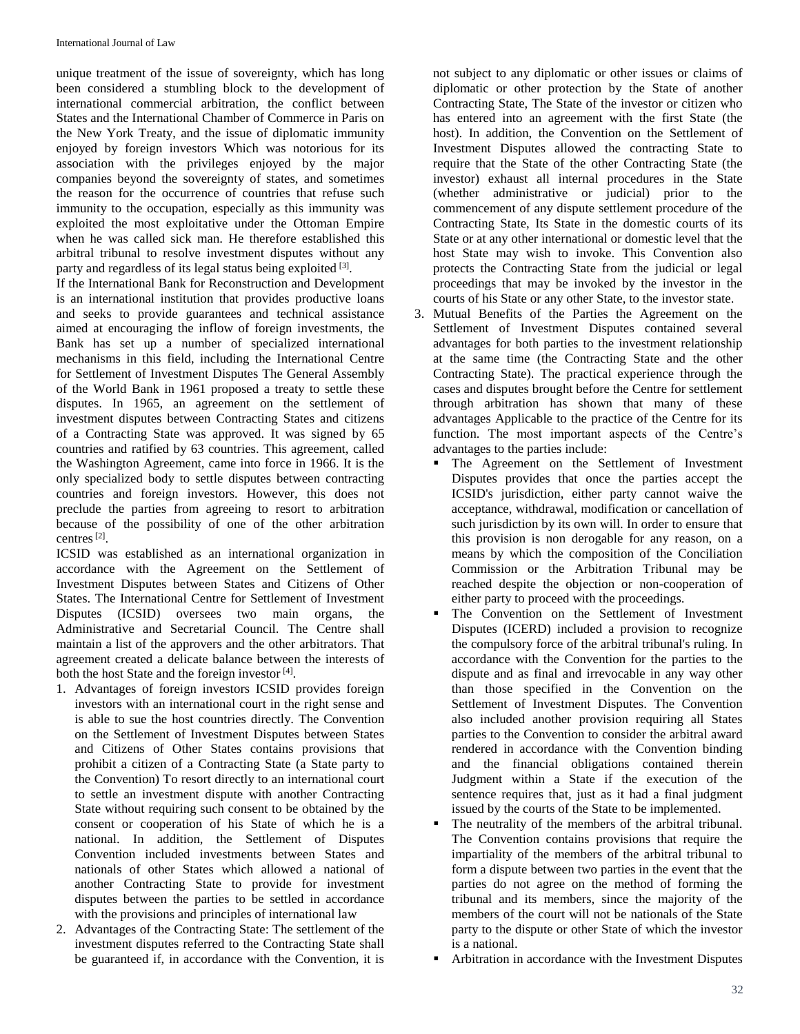unique treatment of the issue of sovereignty, which has long been considered a stumbling block to the development of international commercial arbitration, the conflict between States and the International Chamber of Commerce in Paris on the New York Treaty, and the issue of diplomatic immunity enjoyed by foreign investors Which was notorious for its association with the privileges enjoyed by the major companies beyond the sovereignty of states, and sometimes the reason for the occurrence of countries that refuse such immunity to the occupation, especially as this immunity was exploited the most exploitative under the Ottoman Empire when he was called sick man. He therefore established this arbitral tribunal to resolve investment disputes without any party and regardless of its legal status being exploited [3].

If the International Bank for Reconstruction and Development is an international institution that provides productive loans and seeks to provide guarantees and technical assistance aimed at encouraging the inflow of foreign investments, the Bank has set up a number of specialized international mechanisms in this field, including the International Centre for Settlement of Investment Disputes The General Assembly of the World Bank in 1961 proposed a treaty to settle these disputes. In 1965, an agreement on the settlement of investment disputes between Contracting States and citizens of a Contracting State was approved. It was signed by 65 countries and ratified by 63 countries. This agreement, called the Washington Agreement, came into force in 1966. It is the only specialized body to settle disputes between contracting countries and foreign investors. However, this does not preclude the parties from agreeing to resort to arbitration because of the possibility of one of the other arbitration centres<sup>[2]</sup>.

ICSID was established as an international organization in accordance with the Agreement on the Settlement of Investment Disputes between States and Citizens of Other States. The International Centre for Settlement of Investment Disputes (ICSID) oversees two main organs, the Administrative and Secretarial Council. The Centre shall maintain a list of the approvers and the other arbitrators. That agreement created a delicate balance between the interests of both the host State and the foreign investor [4].

- 1. Advantages of foreign investors ICSID provides foreign investors with an international court in the right sense and is able to sue the host countries directly. The Convention on the Settlement of Investment Disputes between States and Citizens of Other States contains provisions that prohibit a citizen of a Contracting State (a State party to the Convention) To resort directly to an international court to settle an investment dispute with another Contracting State without requiring such consent to be obtained by the consent or cooperation of his State of which he is a national. In addition, the Settlement of Disputes Convention included investments between States and nationals of other States which allowed a national of another Contracting State to provide for investment disputes between the parties to be settled in accordance with the provisions and principles of international law
- 2. Advantages of the Contracting State: The settlement of the investment disputes referred to the Contracting State shall be guaranteed if, in accordance with the Convention, it is

not subject to any diplomatic or other issues or claims of diplomatic or other protection by the State of another Contracting State, The State of the investor or citizen who has entered into an agreement with the first State (the host). In addition, the Convention on the Settlement of Investment Disputes allowed the contracting State to require that the State of the other Contracting State (the investor) exhaust all internal procedures in the State (whether administrative or judicial) prior to the commencement of any dispute settlement procedure of the Contracting State, Its State in the domestic courts of its State or at any other international or domestic level that the host State may wish to invoke. This Convention also protects the Contracting State from the judicial or legal proceedings that may be invoked by the investor in the courts of his State or any other State, to the investor state.

- 3. Mutual Benefits of the Parties the Agreement on the Settlement of Investment Disputes contained several advantages for both parties to the investment relationship at the same time (the Contracting State and the other Contracting State). The practical experience through the cases and disputes brought before the Centre for settlement through arbitration has shown that many of these advantages Applicable to the practice of the Centre for its function. The most important aspects of the Centre's advantages to the parties include:
	- The Agreement on the Settlement of Investment Disputes provides that once the parties accept the ICSID's jurisdiction, either party cannot waive the acceptance, withdrawal, modification or cancellation of such jurisdiction by its own will. In order to ensure that this provision is non derogable for any reason, on a means by which the composition of the Conciliation Commission or the Arbitration Tribunal may be reached despite the objection or non-cooperation of either party to proceed with the proceedings.
	- The Convention on the Settlement of Investment Disputes (ICERD) included a provision to recognize the compulsory force of the arbitral tribunal's ruling. In accordance with the Convention for the parties to the dispute and as final and irrevocable in any way other than those specified in the Convention on the Settlement of Investment Disputes. The Convention also included another provision requiring all States parties to the Convention to consider the arbitral award rendered in accordance with the Convention binding and the financial obligations contained therein Judgment within a State if the execution of the sentence requires that, just as it had a final judgment issued by the courts of the State to be implemented.
	- The neutrality of the members of the arbitral tribunal. The Convention contains provisions that require the impartiality of the members of the arbitral tribunal to form a dispute between two parties in the event that the parties do not agree on the method of forming the tribunal and its members, since the majority of the members of the court will not be nationals of the State party to the dispute or other State of which the investor is a national.
	- Arbitration in accordance with the Investment Disputes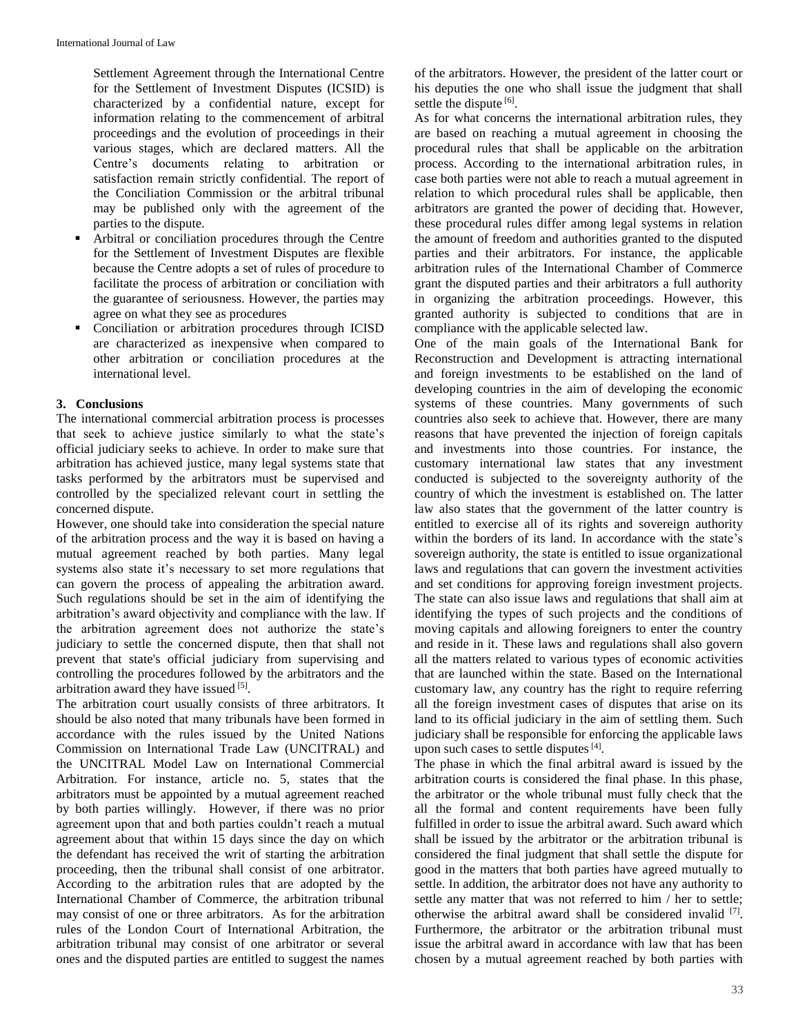Settlement Agreement through the International Centre for the Settlement of Investment Disputes (ICSID) is characterized by a confidential nature, except for information relating to the commencement of arbitral proceedings and the evolution of proceedings in their various stages, which are declared matters. All the Centre's documents relating to arbitration or satisfaction remain strictly confidential. The report of the Conciliation Commission or the arbitral tribunal may be published only with the agreement of the parties to the dispute.

- Arbitral or conciliation procedures through the Centre for the Settlement of Investment Disputes are flexible because the Centre adopts a set of rules of procedure to facilitate the process of arbitration or conciliation with the guarantee of seriousness. However, the parties may agree on what they see as procedures
- Conciliation or arbitration procedures through ICISD are characterized as inexpensive when compared to other arbitration or conciliation procedures at the international level.

### **3. Conclusions**

The international commercial arbitration process is processes that seek to achieve justice similarly to what the state's official judiciary seeks to achieve. In order to make sure that arbitration has achieved justice, many legal systems state that tasks performed by the arbitrators must be supervised and controlled by the specialized relevant court in settling the concerned dispute.

However, one should take into consideration the special nature of the arbitration process and the way it is based on having a mutual agreement reached by both parties. Many legal systems also state it's necessary to set more regulations that can govern the process of appealing the arbitration award. Such regulations should be set in the aim of identifying the arbitration's award objectivity and compliance with the law. If the arbitration agreement does not authorize the state's judiciary to settle the concerned dispute, then that shall not prevent that state's official judiciary from supervising and controlling the procedures followed by the arbitrators and the arbitration award they have issued [5].

The arbitration court usually consists of three arbitrators. It should be also noted that many tribunals have been formed in accordance with the rules issued by the United Nations Commission on International Trade Law (UNCITRAL) and the UNCITRAL Model Law on International Commercial Arbitration. For instance, article no. 5, states that the arbitrators must be appointed by a mutual agreement reached by both parties willingly. However, if there was no prior agreement upon that and both parties couldn't reach a mutual agreement about that within 15 days since the day on which the defendant has received the writ of starting the arbitration proceeding, then the tribunal shall consist of one arbitrator. According to the arbitration rules that are adopted by the International Chamber of Commerce, the arbitration tribunal may consist of one or three arbitrators. As for the arbitration rules of the London Court of International Arbitration, the arbitration tribunal may consist of one arbitrator or several ones and the disputed parties are entitled to suggest the names

of the arbitrators. However, the president of the latter court or his deputies the one who shall issue the judgment that shall settle the dispute [6].

As for what concerns the international arbitration rules, they are based on reaching a mutual agreement in choosing the procedural rules that shall be applicable on the arbitration process. According to the international arbitration rules, in case both parties were not able to reach a mutual agreement in relation to which procedural rules shall be applicable, then arbitrators are granted the power of deciding that. However, these procedural rules differ among legal systems in relation the amount of freedom and authorities granted to the disputed parties and their arbitrators. For instance, the applicable arbitration rules of the International Chamber of Commerce grant the disputed parties and their arbitrators a full authority in organizing the arbitration proceedings. However, this granted authority is subjected to conditions that are in compliance with the applicable selected law.

One of the main goals of the International Bank for Reconstruction and Development is attracting international and foreign investments to be established on the land of developing countries in the aim of developing the economic systems of these countries. Many governments of such countries also seek to achieve that. However, there are many reasons that have prevented the injection of foreign capitals and investments into those countries. For instance, the customary international law states that any investment conducted is subjected to the sovereignty authority of the country of which the investment is established on. The latter law also states that the government of the latter country is entitled to exercise all of its rights and sovereign authority within the borders of its land. In accordance with the state's sovereign authority, the state is entitled to issue organizational laws and regulations that can govern the investment activities and set conditions for approving foreign investment projects. The state can also issue laws and regulations that shall aim at identifying the types of such projects and the conditions of moving capitals and allowing foreigners to enter the country and reside in it. These laws and regulations shall also govern all the matters related to various types of economic activities that are launched within the state. Based on the International customary law, any country has the right to require referring all the foreign investment cases of disputes that arise on its land to its official judiciary in the aim of settling them. Such judiciary shall be responsible for enforcing the applicable laws upon such cases to settle disputes  $[4]$ .

The phase in which the final arbitral award is issued by the arbitration courts is considered the final phase. In this phase, the arbitrator or the whole tribunal must fully check that the all the formal and content requirements have been fully fulfilled in order to issue the arbitral award. Such award which shall be issued by the arbitrator or the arbitration tribunal is considered the final judgment that shall settle the dispute for good in the matters that both parties have agreed mutually to settle. In addition, the arbitrator does not have any authority to settle any matter that was not referred to him / her to settle; otherwise the arbitral award shall be considered invalid [7]. Furthermore, the arbitrator or the arbitration tribunal must issue the arbitral award in accordance with law that has been chosen by a mutual agreement reached by both parties with